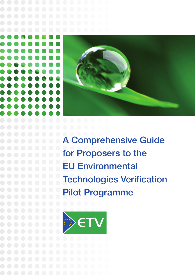

A Comprehensive Guide for Proposers to the EU Environmental Technologies Verification Pilot Programme

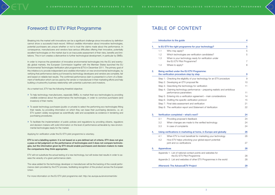# Foreword: EU ETV Pilot Programme TABLE OF CONTENT

Breaking into the market with innovations can be a significant challenge since innovations by definition cannot show a successful track-record. Without credible information about innovative technologies, potential purchasers are unsure whether or not to trust the claims made about the performance. In consequence, manufacturers and vendors face serious difficulties offering their innovative, potentially excellent technologies on the market due to an inaccurate assessment of their risks, benefits and limitations. This in turn creates a disincentive to further technological development, in particular by SMEs.

In order to improve the penetration of innovative environmental technologies into the EU and eventually global markets, the European Commission together with the Member States launched the EU Environmental Technologies Verification pilot programme (ETV) in December 2011. The primary goal of this initiative is to provide independent and credible information on new environmental technologies, by verifying that performance claims put forward by technology developers and vendors are complete, fair and based on reliable test results. The confirmed performance claim is presented in a form of a Statement of Verification which can be used by the vendor or manufacturer in their marketing efforts and help building a trustworthy business relationship with potential customers and investors.

As a market tool, ETV has the following threefold objective:

# 2. Being verified under the EU ETV Programme: the verification procedure step by step

- Step 1: Checking the eligibility of your technology
- Step 2: Developing an ETV proposal file
- Step 3: Describing the technology for verification
- Step 4: Claiming technology performance prepa performance parameters
- Step 5: Entering into a verification agreement m
- Step 6: Drafting the specific verification protocol
- Step 7: Final data assessment and verification
- Step 8: The verification report and Statement of Verification

### 3. Verification completed – what's next?

- 3.1 Providing proposer's feedback
- 3.2 When changes are made to the verified te
- 3.3 In case of complaints

### 4. Using verifications in marketing at home, in Europe and globally 26

- 4.1 When FTV is most beneficial for marketing
- 4.2 How ETV helps unlocking your global export at joint and co-verifications

### 5. Appendices

- Appendix 1: List of national contact points and we the EU ETV Pilot Programme
- Appendix 2: List and websites of other ETV Program

## Afterword: The AdvanceETV Project



|             | 4      |
|-------------|--------|
| ology?      | 5      |
|             | 5      |
| dates?      | 5      |
| ation under |        |
|             | 7      |
|             | $\sim$ |

|                               | 9  |
|-------------------------------|----|
| for an ETV procedure          | 9  |
|                               | 10 |
|                               | 11 |
| aring realistic and ambitious |    |
|                               | 11 |
| ain considerations            | 14 |
|                               | 15 |
|                               | 21 |
| /erification                  | 22 |

|                    | 24 |
|--------------------|----|
|                    | 24 |
| echnology          | 24 |
|                    | 24 |
| rope and globally  | 26 |
| g your technology  | 26 |
| oort potential:    |    |
|                    | 27 |
|                    | 28 |
| ebsites for        |    |
|                    | 28 |
| ammes in the world | 28 |
|                    | 29 |

- » To help technology manufacturers, especially SMEs, to market their eco-technologies by providing credible evidence about the performance the technologies, in order to convince purchasers (and investors) of their merits;
- » To assist technology purchasers (public or private) to select the performing eco-technologies fitting their needs, by providing information on which they can base their purchasing decisions, i.e. an ETV system widely recognised as scientifically valid and acceptable as evidence in tendering and purchasing procedures;
- » To facilitate the implementation of public policies and regulations by providing citizens, regulators and decision-makers with solid information on the level of performance achievable by new environmental technologies ready for the market.

Applying for verification under the EU ETV pilot programme is voluntary.

ETV is not a labelling system: it is not based on a pre-defined set of criteria. ETV does not give a pass-or-fail judgment on the performance of technologies and it does not compare technologies, but the information given by ETV should enable purchasers and decision-makers to make the comparisons they think appropriate.

ETV will not substitute the actual testing of a new technology, but will review test results in order to assess the veracity of a given performance claim.

The value added for the technology developer or manufacturer will be the backing of the overall performance claim provided by the ETV process, facilitating recognition of the product across the European Union.

For more information on the EU ETV pilot programme visit: http://ec.europa.eu/environment/etv

# Introduction to the quide

# 1. Is EU ETV the right programme for your techno

- 1.1 Who may apply?
- 1.2 Which technologies are verification candidates
- 1.3 When is your technology ready for verification the EU ETV Pilot Programme?
- 1.4 Where to apply? 8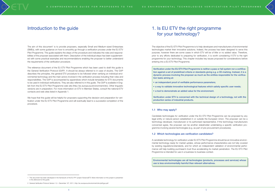The aim of this document<sup>1</sup> is to provide proposers, especially Small and Medium-sized Enterprises (SMEs), with some guidance on how to smoothly go through a verification process under the EU ETV Pilot Programme. The guide explains the steps of the procedure and indicates the roles and responsibilities of the proposer associated with them. Description of the individual steps has been supplemented with some practical examples and recommendations enabling the proposer to better understand the requirements of the verification procedure.

The reference document of the EU ETV Pilot Programme which has been used to draft this guide is the General Verification Protocol (GVP)<sup>2</sup>. It should be always referred to in case of doubts. The GVP describes the principles, the general ETV procedure to be followed when verifying an individual environmental technology and the main actors involved in the verification process including their roles and responsibilities. The GVP is accompanied by appendices which include templates for ETV documents to be used in individual verifications. They are also referred to in this guide. The GVP is available in English from the EU ETV Pilot Programme web site (http://ec.europa.eu/environment/etv). Other linguistic versions are in preparation. For more information on ETV in Member States, consult the national ETV contacts and web sites listed in Appendix 1.

We hope that this guide will be helpful for proposers supporting the decision and preparation for verification under the EU ETV Pilot Programme and will eventually lead to a successful completion of the procedure.

The objective of the EU ETV Pilot Programme is to help developers and manufacturers of environmental technologies market their innovative solutions. Indeed, the process has been designed to serve this purpose, however there are some cases in which ETV will be of little or no added value. Therefore, prior to any efforts dedicated to preparing for verification, it is worth considering if ETV is the right programme for your technology. This chapter includes key issues proposed for considerations before entering into a EU ETV Pilot Programme.

# Introduction to the guide 1. Is EU ETV the right programme for your technology?

Verification under the EU ETV Pilot Programme is neither a pass or fail system nor a certification against a set of predefined criteria or standards giving e.g. a CE-marking. Instead, it is a dynamic process involving the proposer as much as the entities responsible for the verification tasks aiming at:

- an independent proof of verifiable performance parameters;
- a way to validate innovative technological features which satisfy specific user needs;
- a tool to demonstrate an added value for the environment.

Verification under ETV is concerned with the technical design of a technology, not with the production series of industrial products.

### 1.1 Who may apply?

Candidate technologies for verification under the EU ETV Pilot Programme can be proposed by any legal entity or natural person established in or outside the European Union. The proposer can be a technology developer, manufacturer or its authorised representative. If the technology manufacturers concerned agree, the proposer can be another stakeholder undertaking a specific verification programme involving several technologies (e.g. as part of pre-procurement procedures).

# 1.2 Which technologies are verification candidates?

A candidate technology for verification under EU ETV Pilot Programme should be an innovative environmental technology ready for market uptake, whose performance characteristics are not fully covered by existing regulations/standards, and for which an independent validation of environmental performance will help building purchaser's trust thus accelerating its market penetration. The EU ETV Pilot Programme is intended for use in a business-to business context.

Environmental technologies are all technologies (products, processes and services) whose use is less environmentally harmful than relevant alternatives.



<sup>1</sup> This document has been developed in the framework of the EU FP7 project AdvanceETV. More information on this project is presented in the afterword to this quide.

<sup>2</sup> General Verification Protocol Version 1.0 – December 15th, 2011, http://ec.europa.eu/environment/etv/pdf/gvp.pdf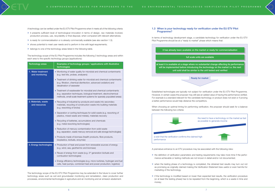A premature entrance to an ETV procedure may be associated with the following risks:

- » the definition of verification parameters and testing requirements may take more time if the performance achievable or testing methods are not known in detail and/or not documented;
- » when the testing phase of a technology is completed, the obtained test results may turn out not as promising as originally claimed making the Verification Statement less useful or even harmful for marketing of the technology.
- » if the technology is modified based on lower than expected test results, the verification procedure (or at least the testing phase) has to be repeated from the beginning, which is a waste in time and money;



| r ready for commercialisation                                                                     |
|---------------------------------------------------------------------------------------------------|
| <u>ailable</u>                                                                                    |
| ial change affecting its performance<br>nology on the market i.e. the next<br>tested and verified |
| t                                                                                                 |

A technology can be verified under the EU ETV Pilot Programme when it meets all of the following criteria:

- » it presents sufficient level of technological innovation in terms of design, raw materials involved, production process, use, recyclability or final disposal, when compared with relevant alternatives;
- » is ready for commercialisation or is already commercially available (see also section 1.3);
- » shows potential to meet user needs and to perform in line with legal requirements;
- » belongs to one of the technology areas listed in the following table.

The technology scope of the EU Pilot Programme includes the following 3 technology areas and within each area to the specific technology groups (applications):

| <b>Technology areas</b>              | Examples of technology groups / applications with illustrative<br>technologies                                                                                                                                  |
|--------------------------------------|-----------------------------------------------------------------------------------------------------------------------------------------------------------------------------------------------------------------|
| 1. Water treatment<br>and monitoring | • Monitoring of water quality for microbial and chemical contaminants<br>(e.g. test kits, probes, analysers)                                                                                                    |
|                                      | • Treatment of drinking water for microbial and chemical contaminants<br>(e.g. filtration, chemical disinfection, advanced oxidation) and<br>desalination of seawater                                           |
|                                      | • Treatment of wastewater for microbial and chemical contaminants<br>(e.g. separation techniques, biological treatment, electrochemical<br>methods, small-scale treatment systems for sparsely populated areas) |
| 2. Materials, waste<br>and resources | • Recycling of industrial by-products and waste into secondary<br>materials, recycling of construction waste into building materials<br>(e.g. reworking of bricks)                                              |
|                                      | • Separation or sorting techniques for solid waste (e.g. reworking of<br>plastics, mixed waste and metals), materials recovery                                                                                  |
|                                      | • Recycling of batteries, accumulators and chemicals<br>(e.g. metal reworking technologies)                                                                                                                     |
|                                      | • Reduction of mercury contamination from solid waste<br>(e.g. separation, waste mercury removal and safe storage technologies)                                                                                 |
|                                      | • Products made of biomass (health products, fibre products,<br>bioplastics, biofuels, enzymes)                                                                                                                 |
| 3. Energy technologies               | • Production of heat and power from renewable sources of energy<br>(e.g. wind, sea, geothermic and biomass)                                                                                                     |
|                                      | • Reuse of energy from waste (e.g. 3 <sup>rd</sup> generation biofuels and<br>combustion technologies)                                                                                                          |
|                                      | • Energy efficiency technologies (e.g. micro-turbines, hydrogen and fuel<br>cells, heat pumps, combined heat and power production, logistics)                                                                   |



a wish that the verification confirms the claimed high performance



# 1.3 When is your technology ready for verification under the EU ETV Pilot Programme?

In terms of technology development stage, a candidate technology for verification under the EU ETV Pilot Programme should be at a "ready to market" phase which means that:

The technology scope of the EU ETV Pilot Programme may be extended in the future to cover further technology areas such as soil and groundwater monitoring and remediation, clean production and processes, environmental technologies in agriculture and air monitoring and air emission abatement.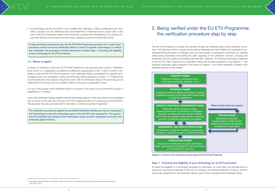

The aim of the chapter is to guide the proposer through the individual steps of the verification procedure. The following sections include some practical examples and hints helping the proposers to understand the key elements of verification and how the proposer is expected to contribute, e.g. defining performance parameters and drafting the claim, agreeing on the verification contract, choosing and interacting with test bodies and analytical laboratories, if relevant. An individual technology presented to the EU ETV Pilot Programme for verification follows the process presented in the Diagram 1. The individual verification steps indicated in the boxes of Diagram 1 are further explained in details in the following sections of this chapter.

» the technology may be more likely to be modified after verification. Unless modifications are minor (refer to section 3.2), the verification report and Statement of Verification are no longer valid. In this case a new ETV procedure needs to be introduced, possibly with simplifications or a quicker process than the first time because the technology is already known by the Verification Body.

It is up to the proposer which Verification Body to choose, in the same country where the proposer is established or in another.

To help eliminate unnecessary risk, the EU ETV Pilot Programme provides for a "quick scan" procedure carried out by the Verification Body to check if a specific technology is a verification candidate. The procedure is further described in section *Step 1: Checking the eligibility of your technology for an ETV procedure.*

### 1.4 Where to apply?

To apply for verification under the EU ETV Pilot Programme, the proposer shall contact a Verification Body which is an organisation accredited as fulfilling the requirements of ISO 17020<sup>3</sup> to perform verifications under the EU ETV Pilot Programme. Each Verification Body is accredited for a specific technological scope, not necessarily covering all technology areas presented in section 1.2. Therefore it is recommended that the proposer should first check with the Verification Body if the technology to be verified falls in the scope of its accreditation. More on this issue is presented in Step 1.

A list of the Verification Bodies together with the technology areas for which they intend to be accredited can be found on the web site of the EU ETV Pilot Programme (http://ec.europa.eu/environment/etv). The proposer may also use national ETV web sites or contacts provided in Appendix 1.

The verification procedures applied by accredited Verification Bodies are robust, transparent and harmonized across the technology areas of the EU ETV pilot programme. This guarantees the credibility and veracity of the verification results and their recognition by the EU and eventually global markets.

# 2. Being verified under the EU ETV Programme: the verification procedure step by step



# Step 1: Checking the eligibility of your technology for an ETV procedure

To check the eligibility of a technology proposed for verification, as a first step, the proposer fills in a quick scan document (a template of this form is included in the General Verification Protocol, the form can be also obtained from the Verification Body), which is then reviewed by the Verification Body.

<sup>3</sup> International Standardization Organisation. General criteria for the operation of various types of bodies performing inspection. ISO 17020. 2012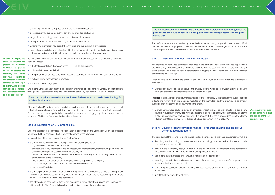

The technical documentation shall make it possible to understand the technology, revise the performance claim and to assess the adequacy of the technology design with the performance claim.

The performance claim and the description of the intended technology application are the most difficult parts of the verification proposal. Therefore, the next sections include some guidance, recommendations and practical examples on how to prepare these two crucial items.

When describing the matrix, the proposer shall refer to the type of material which the technology is intended for.

## Step 3: Describing the technology for verification

» Examples of purpose could be reduction of nitrate concentration, separation of volatile organic compounds, reduction of energy use (MW/kg), bacteria removal to drinking water standards, monitoring of  $NO_{x}$ , improvement of heating value etc. It is important that the purpose describes the claimed one purpose of the candieffect in quantitative terms, e.g. reduction of nitrate concentration in mg  $NO_{3}^-/L$ .

The technical performance parameters proposed in the claim shall refer to the intended application of the technology. The proposer shall therefore describe the application of the candidate technology in terms of matrix, purpose and a set of parameters defining the technical conditions valid for the claimed performance (refer to Step 4).

» Examples of matrices could be soil, drinking water, ground water, cooling water, alkaline degreasing bath, effluent from domestic wastewater treatment plant etc.

Purpose is a measurable property that is affected by the technology. Description of the purpose should indicate the way in which the matrix is impacted by the technology and the quantitative parameters suggested for monitoring and documenting the effect.

# Step 4: Claiming technology performance – preparing realistic and ambitious performance parameters

The initial claim of the technology performance shall be a concise declaration using parameters which are:

- » describing the functioning or performance of the technology in a specified application and under specified operational conditions;
- » related to the technology itself, and not e.g. to the environmental management of the company, to the sources of raw material or to the information provided to users;
- » highlighting the advantages and innovative features of the technology;
- » reflecting potential, direct environmental impacts of the technology in the specified application and under specified operational conditions;
- » to the degree possible including relevant, indirect impacts on the environment from a life cycle perspective;
- » quantitatively verifiable through tests

The following information is required to fill in the quick scan document:

- » description of the candidate technology and its intended application;
- » stage of the technology development i.e. if it is ready for market;
- » initial performance claim expressed by quantifiable parameters;
- » whether the technology has already been verified and the result of this verification;
- » information on available test data relevant for the claim (including testing methods used, in particular if these methods are available, standardized and reproducible and their accuracy).

Review and assessment of the data included in the quick scan document shall allow the Verification Body to assess:

- » if the technology falls in the scope of the EU ETV Pilot Programme;
- » if it is ready for commercialization;
- » if the performance claimed potentially meets the user needs and is in line with legal requirements;
- » if it shows some technological innovation;
- » the relevant technology group;

and to give a first indication about the complexity and range of costs for a full verification excluding the testing costs – estimate for tests shall come from a test body if additional test turn necessary.

Based on the quick scan results, the Verification Body either recommends the technology for a full verification or not.

If the Verification Body is not able to verify the candidate technology due to the fact that it does not fall in the technological scope for which it is accredited, it should assist the proposer to find a Verification Body whose technical scope is likely to include the relevant technology group. It may happen that the competent Verification Body may be in a different country.

### Step 2: Developing an ETV proposal file

Once the eligibility of a technology for verification is confirmed by the Verification Body, the proposer prepares a full ETV proposal. The full proposal consists of the following:

- » contact data of the proposer and the Verification Body;
- » the technical documentation including at least the following elements:
- a general description of the technology,
- conceptual design, user manual and if necessary for understanding, manufacturing drawings and schemes of components, sub-assemblies, circuits, etc.
- descriptions and explanations necessary for the understanding of those drawings and schemes and operation of the technology,
- where relevant, standards or technical specifications applied in full or in part,
- results of design calculations made, examinations carried out etc.,
- test reports if available.
- » the initial performance claim together with the specification of conditions of use or testing under which the claim is applicable and any relevant assumptions made (refer to section Step 4 for details on how to define the performance parameters);
- » the intended application of the technology described in terms of matrix, purpose and technical conditions (refer to Step 3 for details on how to describe the technology application).

In order to prepare the quick scan document the proposer is encouraged to consult the guidance on how to describe the technology and define performance parameters for verification provided in sections Step 3 and Step 4 of chapter 2. The proposer may also ask the Verification Body for assistance to fill in the quick scan form.



When relevant, the proposer may define more than date technology.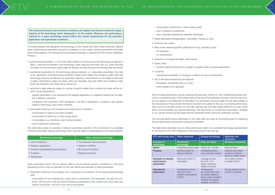- consumption of electricity or other energy (heat);
- use of hazardous substances;
- use of recycled material/raw materials substitutes;
- » Waste generated (biodegradable / recyclable / hazardous, etc);
- » Emissions (air, water);
- » Man-power needed (specific qualifications if any), operating costs: – for operation;
	-
- for maintenance;
- » Impacts on occupational health, user manual;
- » Space, Area:
- as there might be restrictions on height or square-meter in typical applications;
- » Longevity:
	- robustness/vulnerability to changing conditions of use or maintenance;
- » End of life decommissioning and disposal:
- Reusability, recyclability (fully or in part);
- Parts needed to be disposed.

Some of these parameters may be measured through tests, others not. Non-verifiable parameters cannot be considered as part of the verified claim at the end of the verification process, but they may however be added to the Statement of Verification, for information only and under the sole responsibility of the manufacturer if they contain information important and useful for the user. A complete performance claim could for example include not only high cleaning rate and high energy efficiency, but also costly and/or environmentally risky decommissioning. The opportunity to include other parameters, verifiable or not, should anyhow be discussed with the Verification Body during the verification process.

The technical performance parameters of the initial claim are used as the starting point for preparing the final performance parameters during the verification.

The table below illustrates how an initial performance claim of a candidate technology representative for the three EU ETV Pilot Programme technology groups may look like.

The initial performance claim should be ambitious yet realistic and should include the unique features of the technology which distinguish it on the market. Moreover, the performance claimed for a given technology should reflect the market requirements for the specified application and operational conditions.

To include features that distinguish the technology on the market and meet market demands, different types of performance parameters should be considered. In most cases, only few parameters of the listed below will be relevant. The following list of parameters examples is adopted from the Generic Verification Protocol.

- » performance parameters, i.e. the main claims related to the purpose of the technology as defined in Step 3: what are the benefits of the technology, there might be more than one, e.g. when recycling hot water not only the water quality might be relevant, but also the amount of energy/heat recovered;
- » operational parameters for the technology (always relevant), i.e. measurable parameters that refer to the application of the technology specified in Step3 which define the conditions under which the technology performs as claimed e.g. production capacity, concentrations of non-target compounds in matrix, temperature range, pH range, other pre-requisites; they also define the conditions under which the verification and tests will be carried out;
- » technical or legal reference values (to comply or perform better than a certain limit value will be crucial for some applications):
- specific parameters to be reached by the targeted application on targeted markets (can be different in different countries);
- compliance with industrial or ISO standards in the field of application, compliance with specific needs of technology users (niche markets);
- » parameters referring to the required use of resources for operation:
- consumption of water (e.g at which quality);
- consumption of electricity or other energy (heat);
- consumables, e.g. chemicals, used during operation;
- use of hazardous substances;

The table below gives an example of relevant parameters specific to the functioning of a candidate monitoring and water cleaning technology which may also reflect its advantages and innovative features:

| Monitoring technology                       | Water cleaning technology       |
|---------------------------------------------|---------------------------------|
| • Limit of detection                        | • The achieved cleaning effects |
| • Range of application                      | • Variation of effects          |
| • Precision (repeatability/reproducibility) | • By-product formation          |
| • Trueness                                  | • Residual chemical             |
| $\bullet$ Robustness                        |                                 |

Other parameters which may be relevant relate to environmental impacts considered in a life-cycle perspective and/or may be important for the user. Below are examples of these parameters:

- » Parameters referring to the required use of resources for production of the equipment/technology itself:
- consumption of raw materials (e.g. steel used in construction; this parameter may also be combined with the end of life and decommissioning parameters in the context how much steel was used for production and how much can be recovered);

| ETV technology area                                    | <b>Water treatment</b>                                                               | <b>Energy technology</b>                                                                                                          | <b>Materials and</b><br>resources                                  |
|--------------------------------------------------------|--------------------------------------------------------------------------------------|-----------------------------------------------------------------------------------------------------------------------------------|--------------------------------------------------------------------|
| <b>Example of</b><br>technology                        | <b>Disinfection</b><br>technology                                                    | Solar air heater                                                                                                                  | <b>Biomass processing</b>                                          |
| <b>Matrix</b>                                          | Industrial process water                                                             | Indoor air / climate                                                                                                              | Manure fibres                                                      |
| <b>Purpose</b>                                         | Disinfect water for<br>reuse in industry                                             | Ventilate/heat/dry<br>e.g. a summer house                                                                                         | Improve dry matter<br>content in manure<br>fibres for better reuse |
| <b>Example of claimed</b><br>performance<br>parameters | Removal of 99,9 %<br>of bacteria                                                     | Average air flow<br>60 m <sup>3</sup> /h, 5 %<br>lower indoor air<br>relative humidity                                            | Dry matter content<br>in outlet of 90 %                            |
| Operational<br>parameters                              | Conductivity above<br>$250 \mu S/m$ and<br>ambient temperature<br>$5 - 35^{\circ}$ C | Temperature,<br>air volume flow rate<br>and solar radiation.<br>All as under standard<br>Northern European<br>weather conditions. | Energy balance close<br>to zero or positive                        |

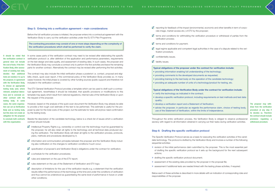

The proposer may withdraw from the verification procedure at any step if he decides so. Therefore the contract should include provisions regulating a withdrawal procedure.

It should be noted that the verification contract in general does not include the cost of tests. If the Verification Body, after assessment of existing test data, decides that additional tests are needed, it is up to the proposer, in agreement with the Verification Body, to choose an appropriate testing body (and, where relevant, analytical laboratory) and to conclude another contract with the testing body. In some cases, the same organisation can act as Verification Body and as testing body, but this does not create an obligation for the proposer to conclude both contracts with this organisation.

- verify the technology as indicated in the contract;
- • develop a specific verification protocol, including requirements on test methods and test data quality;
- develop a verification report and a Statement of Verification;
- advise the proposer, in particular as regards the performance claim, choice of testing body, use of the Statement of Verification, within the limits of independence.

The Specific Verification Protocol serves as a basis for executing the verification activities of the candidate technology. The protocol is drafted by the Verification Body and involves a number of the following sequential activities:

# **Typical obligations of the proposer under the contract for verification include:**

- providing information enabling full understanding of the technology;
- providing comments to the developed documents as requested:
- providing training to the test body on the operation of the candidate technology;
- providing an adequate number of units of a technology/product for testing, etc.

## **Typical obligations of the Verification Body under the contract for verification include:**

Throughout the entire verification process, the Verification Body is obliged to observe professional secrecy with regard to all information obtained in carrying out their tasks during verification activities.

# Step 6: Drafting the specific verification protocol

- » revision of the initial performance claim submitted by the proposer. This is the most essential part of drafting the specific verification protocol as it sets up the background for the next subsequent actions;
- » drafting the specific verification protocol document;
- » assessment of the existing data provided by the proposer in the proposal file;
- » assessment if additional tests are needed linked with the testing phase activities, if required.

Below each of these activities is described in more details with an indication of corresponding roles and responsibilities of the proposer.

- Intellectual Property Rights e.g. ownership or control over the technology must be guaranteed by the proposer, he will also retain all rights to the technology and all technical data produced during the verification. The Verification Body will retain all rights to the verification process, protocols, plans, methods and procedures developed by it;
- $\blacksquare$  information and communication principles between the proposer and the Verification Body including also notification on the changes to verification conditions if such occur;
- $\blacksquare$  specification of proposer's and Verification Body's obligations under the contract for verification;
- $\blacksquare$  a schedule for the verification procedures;
- $\blacksquare$  rules and statement on the use of the ETV report;
- $\blacksquare$  rules statement on the use of the Statement of Verification and FTV logo;
- $\blacksquare$  description of limitations for the use of the verification results e.g. a statement that the verification results reflect the performance of the technology at the time and under the conditions of verification and thus cannot be understood as guaranteeing the same level of performance in future or under other conditions;
- $\blacksquare$  reporting for feedback of the impact (environmental, economic and other benefits in term of corporate image, market access etc.) of ETV by the proposer;
- $\blacksquare$  terms and conditions for withholding the verification procedure or withdrawal of parties from the verification process;
- $\blacktriangleright$  terms and conditions for payment;
- $\blacksquare$  legal regime applicable and competent legal authorities in the case of a dispute related to the verification procedure;
- $\sqrt{\phantom{a}}$  confidentiality issues.
- $\blacksquare$  liability issues.



### Step 5: Entering into a verification agreement – main considerations

Before the full verification process is initiated, the proposer enters into a contractual agreement with the Verification Body to carry out the verification activities under the EU ETV Pilot Programme.

The contracting procedure may consist of one or more steps depending on the complexity of the verification procedures which shall be performed to verify the claim.

In some cases parts of the verification contract may need to be revised after elaborating the specific verification protocol i.e. after definition of the application and performance parameters, requirements on the test design and data quality, and assessment of existing data. In such cases, the proposer and the Verification Body may conclude a contract only to perform the first activities and leave the remaining parts for another contract. Alternatively the contract may be revised after performing the first activities.

The contract may also include the initial verification phase a posteriori i.e. contact, proposal and eligibility check, quick scan report, if the commercial policy of the Verification Body provides so. In many cases however, the initial phase is covered by other funding sources (public support) and therefore not included in the verification contract.

The ETV General Verification Protocol provides a template which can be used to draft such a contractual agreement, nevertheless it should be indicated, that specific provisions or modifications to this template may apply which result from national regulations, internal rules of the Verification Body or upon the request of the proposer.

However, based on the analysis of the quick scan document the Verification Body may already be able to provide a first rough cost estimate of the test to be performed. This estimate is useful for the proposer tp plan for the total costs of the project, but the estimate for tests will anyhow need confirmation by the testing body.

Beside the description of the candidate technology, below is a check list of issues which a verification contract should include: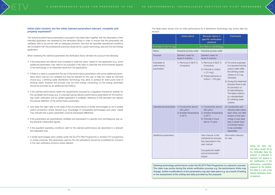During the claim revision phase carried out by the Verification Body the proposer is requested to comment and approve to the modifications of the performance parameters proposed by the Verification Body as a part of the Specific Verification Protocol approval.

## Initial claim revision: are the initial claimed parameters relevant, complete and properly expressed?

The technical performance parameters proposed in the initial claim together with the description of the intended application are reviewed by the Verification Body in order to ensure that the parameters are verifiable, able to be proven with an adequate precision, and that the specified operational conditions are consistent with the professional practices observed for a given technology area and the technology application.

When reviewing the claimed parameters the Verification Body will take into account the following:

- » if the parameters are relevant and complete to meet the users' needs for this application (e.g. some additional parameters may need to be included in the claim to describe the environmental aspects of the technology or an expected result from the application);
- » if there is a need to supplement the set of the performance parameters with some additional parameters which may be non-verifiable but may be relevant for the user to help him make an informed choice (e.g. a drinking water disinfection technology may allow to achieve an extra purity level of drinking water, however this process may be more energy consuming, so the energy parameter should be provided as an additional information);
- » if the claimed performance meets the requirements imposed by a regulatory framework specific for the candidate technology (e.g. if a standard giving relevant performance parameters for the technology under verification and its verified application is available, reference to this standard can replace the precise definition of the performnace parameter);
- » how does the claim refer to the state of the art performance of similar technologies so as to enable useful comparison where relevant (e.g. knowledge of comparable technologies and users' needs may indicate that a given parameter could be expressed differently);
- » if the parameters are quantitatively verifiable and expressed in a specific and unambiguous way using absolute measurable figures;
- » if the specified operating conditions valid for the claimed performance are described in a relevant and adequate way;
- » if similar technologies were verified under the EU ETV Pilot Programme or another ETV programme or similar schemes, the parameters used for the old verifications should be considered for inclusion in the new verification protocol where relevant.

The table below shows how an initial performance for a disinfection technology may evolve after the revision:

|                                          | <b>Initial claims</b>                                                      | <b>Revised claims in</b><br>specific verification<br>protocol                                                                             | <b>Comments</b>                                                                                                                                                                                                                                                                                               |
|------------------------------------------|----------------------------------------------------------------------------|-------------------------------------------------------------------------------------------------------------------------------------------|---------------------------------------------------------------------------------------------------------------------------------------------------------------------------------------------------------------------------------------------------------------------------------------------------------------|
| <b>Example of technology</b>             |                                                                            | <b>Disinfection technology</b>                                                                                                            |                                                                                                                                                                                                                                                                                                               |
| <b>Matrix</b>                            | Industrial process water                                                   | Industrial process water                                                                                                                  |                                                                                                                                                                                                                                                                                                               |
| Purpose                                  | Disinfect water for<br>reuse in industry                                   | Disinfect water for<br>reuse in industry                                                                                                  |                                                                                                                                                                                                                                                                                                               |
| Examples of<br>performance<br>parameters | 1) Removal of 99,9 %<br>of bacteria                                        | 1) Removal of 99,9 %<br>of bacteria<br>2) Chloride in output<br>$< 0.5$ mg/L<br>3) Trihalomethanes in<br>output $< 100$ µg/L              | 2) For some purposes<br>it is required that the<br>output water fulfils<br>the drinking water<br>criteria of 0.5 mg<br>chloride/L<br>3) During the treatment<br>process there is risk<br>for formation of<br>tri-halomethanes.<br>The listed criterion<br>is a standardised<br>EU drinking water<br>criterion |
| Operational parameters                   | 1) Conductivity above<br>250 µS/m<br>2) Ambient temperature<br>$5 - 35$ °C | 1) Conductivity above<br>250 µS/m<br>2) Ambient temperature<br>$5 - 35^{\circ}$ C<br>3) Chloride in input<br>above 15 ppm                 | 3) Conductivity and<br>chloride often follow<br>each other, but after<br>revision of the tech-<br>nology is was clear<br>that a certain level<br>of chloride needs<br>to be controlled<br>separately.                                                                                                         |
| Additional parameters                    |                                                                            | User manual: is the<br>maintenance process<br>fully described in the<br>user manual<br>Occupational health<br>and environmental<br>impact | Information relevant<br>for user                                                                                                                                                                                                                                                                              |

Claiming technology performance under the EU ETV Pilot Programme is a dynamic process. The claim may evolve during the whole verification process e.g. the performance limits may change, further modifications of the parameters may also take place e.g. as a result of testing or the assessment of the exiting test data provided by the proposer.

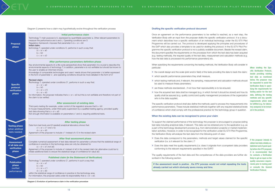

When drafting the Specific Verification Protocol, beside providing existing test data as mentioned below, the proposer may be requested to assist the Verification Body in specifying the requirements for testing and/or for the test data, defining the testing methods and any specific requirements which shall be fulfilled (e.g. for laboratory analyses) to be included in the protocol.

If the proposer intends to obtain test data reliably established and of good quality before the ETV proposal, it is recommended that he contacts a Verification Body to get an input on the quality assurance requirements prior to testing and/ or consults the General Verification Protocol.

Diagram 2 presents how a claim may hypothetically evolve throughout the verification process

Diagram 2: Evolution of performance claim in the verification procedure

### Drafting the specific verification protocol document

ormance parameters to be verified is reached, as a next step, the m the proposer drafts the specific verification protocol. It is a docuecific verification of an individual technology under the EU ETV Pilot he protocol is developed applying the principles and procedures of mplate to be used for drafting the protocol. In the EU ETV Pilot Proprotocol is not a publicly available document. Beside the revised claim, ements on the processes from which the test data has been acquired d quality of the test data, measurement and calculation methods (e.g. to performance parameters) etc.

s concerning the testing methods, the Verification Body will consider in

- 
- rameters they shall measure,
- ameters;
- ed, if not how their reproducibility is to be ensured;
- 

shall also define the methods used to process the measurements into nclude statistical methods together with any required statistical levels with the professional practice for the technology group in question.

### e recognized to prove your claim

nce of the technology the proposer is encouraged to propose exiting tif relevant. This data can be obtained prior to the application e.g. as hent process (e.g. from demonstration projects) or market implemento be recognised for the verification under EU ETV Pilot Programme, the test data from the following point of view:

- the claim  $)$  ?
- direments specified in the GVP)?

est data and the competences of the data providers are further de-

If is the assess would not entail repeating the tests iously saves money and time.



e (pilot and/or field) of the tests providing the data to back the claim;

elevant, the sampling, measurement and calculation methods should

all be managed (e.g. in which format it should be stored) and how its uality control and quality management procedures of the organization

the parameters, methods and target values claimed for the specific

requirements (i.e. does it originate from ccompetent data providers

| <b>Proposal</b><br>phase                                      | Initial performance claim<br>Technology T: main purpose is A, expressed by quantifiable parameter a. Other relevant parameters to<br>measure the performance are b and c. Operating conditions are O<br>Regulatory framework: imposes that parameter b is $<$ or = b0<br>Initial claim:<br>technology T, operated under conditions O, performs in such a way that:<br>$a >$ or = $a0$<br>b < b0<br>$c < or = c0$                                                                                                                                                                                                                                                                                                                                                                                                                                                                                                                                                                                                                                                                                                                                                                                                             | Once an agreement on the perfo<br>Verification Body with an input fror<br>ment which describes how a spe<br>Programme will be carried out. Tl<br>the GVP which also provides a ter<br>gramme the specific verification p<br>the document specifies the require<br>(e.g. testing methods), the required<br>how the test data is processed int                                                                                                                                                    |
|---------------------------------------------------------------|------------------------------------------------------------------------------------------------------------------------------------------------------------------------------------------------------------------------------------------------------------------------------------------------------------------------------------------------------------------------------------------------------------------------------------------------------------------------------------------------------------------------------------------------------------------------------------------------------------------------------------------------------------------------------------------------------------------------------------------------------------------------------------------------------------------------------------------------------------------------------------------------------------------------------------------------------------------------------------------------------------------------------------------------------------------------------------------------------------------------------------------------------------------------------------------------------------------------------|-------------------------------------------------------------------------------------------------------------------------------------------------------------------------------------------------------------------------------------------------------------------------------------------------------------------------------------------------------------------------------------------------------------------------------------------------------------------------------------------------|
| <b>Specific</b><br>protocol<br>verification<br>phase          | After performance parameters definition phase<br>Key environmental aspects (in a life-cycle perspective) show that parameter d is crucial to describe the<br>environmental aspects of technology T; in addition, parameter e is not verifiable but should be known to<br>the user to enable an informed choice.<br>Knowledge of comparable technologies and users' needs shows that parameter c is better expressed<br>in the form of parameter c', and operating conditions should be more detailed in the form of O'<br><b>Revised claim:</b><br>Technology T, operated under conditions O', performs in such a way that:<br>$a >$ or = $a0$<br>b < b0<br>$c' <$ or $= c'0$<br>$d < or = d0$<br>for information, the proposer indicates that $e < or = e0$ but this is not verifiable and therefore not part of<br>the claim to be verified.<br>After assessment of existing data<br>Third-party testing (for example, under control of the regulator) ensures that $b < b$ 0<br>In-house measurements, under third-party supervision by a qualified testing agency, provided quality<br>test data showing that $a >$ or = $a0$<br>Not enough information is available on parameters c' and d, requiring additional tests. | When specifying the requirements<br>particular:<br>>> the overall design and the scale<br>> which specific performance part<br>> which testing methods and, if re<br>be used to measure these para<br>>> are these methods standardize<br>>> how the acquired test data sha<br>quality shall be assured (e.g. qu<br>who is the data supplier).<br>The specific verification protocol s<br>performance parameters. These in<br>of confidence which shall comply<br>When the existing data can be |
| <b>Testing phase</b><br>(when additioal<br>tests needed)      | <b>After testing phase</b><br>Data from test body and (if needed) analytical laboratory shows that:<br>$c' <$ or = $c'1$ (not $c'0$ )<br>$d <$ or = $d0$<br>Agreement of the proposer to include c'1 instead of c'0 in the revised claim                                                                                                                                                                                                                                                                                                                                                                                                                                                                                                                                                                                                                                                                                                                                                                                                                                                                                                                                                                                     | To support the claimed performan<br>test data including analytical data,<br>a part of the technology developm<br>tation activities. However, in order<br>the Verification Body will analyse t                                                                                                                                                                                                                                                                                                   |
| <b>Assessment</b><br>of all data and<br>verification<br>phase | After final assessment phase<br>Complete numerical assessment of test data relevant for parameter a shows that the statistical range of<br>confidence in practice in the technology area can only be obtained for<br>$a >$ or = a1 (not a0)<br>Agreement of the proposer to include a1 instead of a0 in the revised claim (an alternative could be to<br>initiate additional tests to ensure the statistical range of confidence for value a0)                                                                                                                                                                                                                                                                                                                                                                                                                                                                                                                                                                                                                                                                                                                                                                               | >> Does the data correspond to the<br>verification (i.e. is it relevant for<br>>> Does the data meet the quality<br>conforming to the relevant requ                                                                                                                                                                                                                                                                                                                                             |
| <b>Publication</b><br>phase<br>(verified<br>performance)      | <b>Published claim (in the Statement of Verification)</b><br>Technology T, operated under conditions O', performs in such a way that:<br>$a >$ or = a1<br>b < b0<br>$c' <$ or $= c'1$<br>$d < or = d0$<br>within the statistical range of confidence in practice in the technology area.<br>For information, the proposer adds under its responsibility that $e <$ or = $e0$ .                                                                                                                                                                                                                                                                                                                                                                                                                                                                                                                                                                                                                                                                                                                                                                                                                                               | The quality requirements of the te<br>scribed in the following section.<br>If the assessment result is po<br>already carried out which obvi                                                                                                                                                                                                                                                                                                                                                     |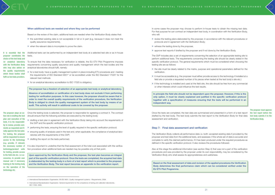The proposer must approve the test report before the test body submits it to the Verification Body.



choice of the test body and /or analytical laboratory with the Verification Body who may also advise on

The proposer plays an active role in drafting the test plan and execution of the tests. It is his responsibility to review, provide comments as requested and finally approve the test plan. For testing, the proposer will be requested to ensure access to the technology (e.g. provide, if relevant, the necessary number of technology/product units for testing, provide access to the field site etc. ) or accessories, to provide user manual and if necessary training to the testing body on the operation of the technology etc.

It is essential that the proposer coordinates the Additional tests can be performed by an independent test body at a selected test site or as in-house tests.

# When additional tests are needed and where they can be performed

Based on the review of the claim, additional tests are needed when the Verification Body states that:

- the quality requirements which these bodies shall fulfil as test data providers. » for a test body: have a quality management system in place including ETV procedures and meeting the requirements of ISO Standard 9001<sup>4</sup> or be accredited under the ISO Standard 17025<sup>5</sup> for the relevant test methods
	- » for an analytical laboratory accreditation to ISO 17025 is obligatory.
- » the submitted existing data is not acceptable in full or in part (e.g. because it does not meet the quality assurance requirements),
- » when the relevant data is incomplete to prove the claim.

To ensure that the data necessary for verification is reliable, the EU ETV Pilot Programme imposes requirements concerning quality assurance and quality management which the test bodies and the analytical laboratories should fulfil, namely:

It is also important to underline that the final assessment of the total cost associated with the verification procedure when additional tests are needed may be possible only at that point.

In some cases the proposer may choose to perform in-house tests to obtain the missing test data. For that purpose he can contract an independent test body, in coordination with the Verification Body, who will<sup>.</sup>

The proposer has a freedom of selection of an appropriate test body or analytical laboratory.

Absence of accreditation or certification of a test body does not exclude it from performing testing for verification purposes. In this case however, the proposer should be aware that in order to meet the overall quality requirements of the verification procedure, the Verification Body is obliged to check the quality management system of the test body by means of an audit. This activity will result in additional costs to be covered by the proposer.

Once the testing body is selected, the proposer is responsible for agreeing a contract it. The contract should ensure that the following activities are executed by the testing body:

- » drafting a test plan in agreement with the Verification Body taking into account the requirements of the GVP and the specific verification protocol;
- » performing the tests, ensuring the level of quality required in the specific verification protocol;
- » ensuring quality of analysis used in the test and, when applicable, the compliance of analytical laboratories with the requirements of this GVP;
- » drafting the report on the tests performed.

Upon approval by the Verification Body and the proposer, the test plan becomes an integral part of the specific verification protocol. Once the tests are completed, the acquired test data is elaborated by the testing body in a form of a test report which is provided to the proposer and the Verification Body. The test report becomes an appendix to the verification report.

- » review the testing plans elaborated by the proposer, in accordance with the relevant procedures or protocols and in agreement with the Verification Body;
- » witness the testing done by the proposer,
- » approve test reports if drafted by the proposer and if not done by the Verification Body.

The GVP includes also a set of requirements concerning the selection of an appropriate testing site to perform additional tests. The requirements concerning the testing site should be clearly stated in the specific verification protocol. The general requirements which must be considered when choosing the testing site are as follows:

- » the site must be clearly related to the matrix, purpose and operational parameters defined for the verification.
- » it must be accessible (e.g. the proposer must either provide access to the technology if installed at a field site or provide a requested number of its pieces when tested at the test body's site etc.)
- » if the technology is installed and used at the field site, the site should be free from any commercial or other interests which could influence the test results.

In principle the field site should not be dependent upon the proposer. However, if this is the only option, it must be clearly explained and justified in the specific verification protocol together with a specification of measures ensuring that the tests will be performed in an independent way.

Once the tests are completed, the test data are summarized and presented in a form of a test report drafted by the test body. The test body submits the test report to the Verification Body for final data assessment and verification.

### Step 7: Final data assessment and verification

The Verification Body collects all performance data i.e. both: accepted existing data if provided by the proposer and test data from the additional tests, and assesses: if the whole set of data is accurate and complete to verify the claimed performance, if it has been produced under the required procedures as defined in the specific verification protocol. It also reviews the procedures followed.

Also at this stage the additional information (see section Step 4) that was not a part of the verification procedures and was provided by the proposer under its own responsibility, may be considered by the Verification Body who shall assess its appropriateness and usefulness.

Based on the final assessment of data and revision of the applied procedures the Verification Body determines the final performance claim which can be considered verified under the EU ETV Pilot Programme.



<sup>4</sup> International Standardization Organisation. EN ISO 9001. Quality management systems – Requirements. 2008.

<sup>5</sup> International Standardization Organisation. General requirements for the competence of testing and calibration laboratories. ISO 17025. 2005.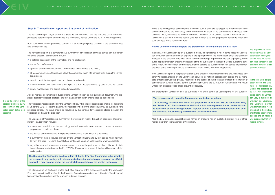

The proposers are recommended to make the verification report publicly available to make the verification result transparent and thus more attractive to the potential purchaser.

In the case when the proposer misuses the Statement of Verification i.e. violates the conditions of EU ETV Pilot Programme stated above, the Verification Body is authorised to withdraw the Statement. The Statement together with the verification report or parts of it, if published, shall then be removed from the web site on which it was published by the Commission services.

It is in the interest of the proposer to closely review and comment the verification report before it is approved.

There is no validity period defined for the statement but it is only valid as long as no major changes have been introduced to the technology which could have an effect on its performance. If changes have been are made, an assessment by the Verification Body will be required to assess if the Statement of Verification is still valid or needs update (see also Section 3.2). The proposer is obliged to report any such changes to the Verification Body.

## How to use the verification report, the Statement of Verification and the ETV logo

In general, if the verification report is published, it should be published in full. In some cases the Verification Body may accept publication of parts of the report; however this may happen only if the legitimate interests of the proposer in relation to the verified technology, in particular intellectual property, could suffer disproportionately great harm because of the full publication of the report. Before publishing parts of the report, the Verification Body checks, that the parts to be published may not lead to any misinterpretation of the meaning or results of verification under the EU ETV Pilot Programme.

The verification report is a comprehensive summary of all verification activities carried out throughout the entire process. Its main parts include:

> If the verification report is not publicly available, the proposer may be requested to provide access it by other Verification Bodies, by the Commission services, by national accreditation bodies and by members of technical working groups. If requested, the access should be granted under the condition of confidentiality. EU and national control authorities (including the EU Court of Auditors and Anti-Fraud Office) can request access under relevant procedures.

The Statement of Verification must be published in full and it cannot be used in parts for any purpose.

The proposer should quote the Statement of Verification as follows:

XX technology has been verified for the purpose PP in YY matrix by QQ Verification Body on DD.MM.YYYY. The Statement of Verification has been registered under number NN and is accessible at the following address: http://ec.europa.eu/environment/etv/index.htm or on the dedicated website designated by the Commission services.

Also the ETV logo alone cannot be used neither on products nor on published (printed, web or other) matter other than the Statement of Verification.



### Step 8: The verification report and Statement of Verification

The verification report together with the Statement of Verification are key products of the verification procedure determining the performance of a technology verified under the EU ETV Pilot Programme.

Both documents have a predefined content and structure (templates provided in the GVP) and rules and principles of use.

- » a detailed description of the technology and its application,
- » the verified performance,
- » operational conditions under which the declared performance is achieved,
- » all measurement uncertainties and relevant assumptions taken into consideration during the verification process,
- » description of the tests performed and the obtained results,
- » final assessment of all data from the test report and from acceptable existing data prior to verification,
- » quality management and control procedures applied.

Also all relevant documents produced during verification such as the quick scan document, the proposal, specific verification protocol, the test plan and test report are included as appendices.

The verification report is drafted by the Verification body while the proposer is responsible for approving it. Under the EU ETV Pilot Programme, the report is owned by the proposer. It may be published if the proposer agrees. This issue should be regulated by the contract for verification closed between the verification body and the proposer.

The Statement of Verification is a summary of the verification report. It is a short document of approximately 4 pages which includes:

- » a summary description of the technology verified, complete denomination or reference number, purpose and conditions of use;
- » the verified performance and the operational conditions under which it is achieved;
- » a summary of the procedures followed by the Verification Body, and by test bodies where relevant, to verify the claim, including the statistical confidence range on specifications where applicable;
- » any other information necessary to understand and use the performance claim; this may include information not verified under the EU ETV Pilot Programme, however this should be clearly stated and explained.

The Statement of Verification is a key output of the EU ETV Pilot Programme to be used by the proposer in any dealings with other organisations, for marketing purposes and for official approval. It may become part of the technical documentation of the verified technology.

The Statement of Verification is drafted and, after approval of the proposer, issued by the Verification Body who signs it and transfers to the European Commission services for publication. The document has a registration number, an ETV logo and a date of issuance.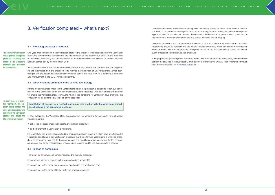

# 3. Verification completed – what's next? Complaints related to the verification of a specific technology should be made to the relevant Verifica-

The contract for verification should provide appropriate provisions regulating the details of the proposer's feedback and procedure for its collection.

To report changes to a verified technology, the proposer should contact the same Verification Body who performed the verification process and issued the Statement of Verification.

# 3.1 Providing proposer's feedback

One year after completion of the verification process the proposer will be requested by the Verification Body who performed the verification to provide feedback on the added-value of ETV in the marketing of the verified technology and the economic and environmental benefits. This will be done in a form of a survey carried out by the Verification Body.

Verification Bodies will forward the collected feedback to the Commission services. The aim of gathering this information from the proposers is to monitor the usefulness of ETV for applying verified technologies and the acquired associated environmental benefit and thus allow for a continuous evaluation and improvement of the EU ETV Pilot Programme.

# 3.2 When changes are made in the verified technology

If there are any changes made in the verified technology, the proposer is obliged to report such information to the Verification Body. The information should be supported with a set of relevant data that will enable the Verification Body to evaluate whether the conditions for verification have changed. This evaluation will be performed at the cost of the proposer.

Substitution of one part of a verified technology with another with the same documented specifications is not considered a change.

If, after evaluation, the Verification Body concludes that the conditions for verification have changed, than alternatively:

- » either the proposer engages in updating verification procedure
- » or the Statement of Verification is withdrawn.

If a technology has already been verified but changes have been made to it which have an effect on the verification conditions, a new verification procedure may be performed according to a simplified procedure. Its scope may refer only to these parameters and conditions which are relevant for the changed parameters due to the modifications, unless serious reasons lead to use the complete procedure.

# 3.3 In case of complaints

There may be three types of complaints related to the ETV procedure:

- » complaints related to specific technology verifications under ETV;
- » complaints related to the competence or qualification of a Verification Body;
- » complaints related to the EU ETV Pilot Programme procedures.

tion Body. A procedure for dealing with these complains together with the legal regime and competent legal authorities for the relations between the Verification Body and the proposer should be indicated in the contractual agreement signed by the two parties (see also section Step 5).

Complaints related to the competence or qualification of a Verification Body under the EU ETV Pilot Programme should be addressed to the national accreditation body which accredited the Verification Body for the EU ETV Pilot Programme. The quality manual of the Verification Body should provide relevant procedures to be followed that that case.

If the proposer lodges complaints related to the EU ETV Pilot Programme procedures, then he should contact the services of the European Commission co-ordinating the EU ETV Pilot Programme through the functional mailbox: ENV-ETV@ec.europa.eu

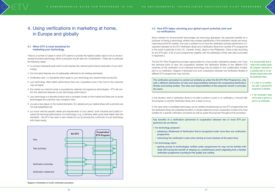

It is recommended that already at the contact phase the proposer interested in a potential joint or co-verification should check with the Verification Body:

- if a joint or co-verification with a selected ETV programme is feasible;
- if the Verification Body will be able to perform a joint or co-verification.
- » no product standards exist which would express the claimed performance parameter of your technology;
- » the innovative features are not adequately reflected by the existing standards;
- » certification and / or standards which apply to your technology are unharmonised across EU;
- » your technology offers better performance than your competitors even if the cost for the customer may be higher;
- » the market you intend to enter is populated by relatively homogeneous technologies ETV will confirm the distinctive features of your technology performance;
- » your technology is a discrete product and a complete novelty on the market and there are no actual technologies the customer may compare it with;
- » you are a new player on the market (domestic, EU, global) and your relationships with customers are not well established yet;
- » you know well the specific needs and requirements of your clients ( both industrial and public) towards the technical performance of a technology ( e.g. a drinking water purity level higher than the standard) – the ETV may open a new market for you by proving the conformity of your technology with these needs.

# 4.1 When ETV is most beneficial for marketing your technology

There is a number of cases in which ETV seems to provide the highest added value to for an environmental innovative technology which a proposer should take into consideration. These are in particular the following cases:

# 4.2 How ETV helps unlocking your global export potential: joint and co-verifications

- for technology proposer :
- obtaining a Statement of Verification that is recognized under more than one verification programme;
- minimizing the verification costs when aiming at more markets at the same time;
- for technology client :
- gaining access to technologies verified under programmes he may not be familiar with while still having the benefit of relaying on a performance proof originating from a familiar verification programme vouching for the quality and validity.



Since markets for environmental technologies are becoming globalised, the expected benefits for a proposer of having a technology verified may increase signifficantly, if the verification results are recognised beyond the EU market. One way to achieve it is to have the verification process performed in cooperation between an EU ETV Verification Body and a Verification Body from another ETV programme in the world in particular in the U.S., Canada, Korea, Japan or the Philippines. China is also launching its own ETV pilot. A list of such programmes together with the addresses of their web sites is provided in Appendix 2.

The EU ETV Pilot Programme provides opportunities for cross-border verifications already now. From the technical point of view, the cooperation between the Verification Bodies of two different ETV schemes on the verification of an individual technology may be based on two collaboration models: joint or co-verification. Diagram 3 illustrates how such cooperation between two Verification Bodies of different ETV programmes may look like.

The verification procedure is carried out similarly as under the EU ETV Pilot Programme, only with a different distribution of roles and responsibilities between the cooperating Verification Bodies and testing bodies. The roles and responsibilities of the proposer remain in principle the same.

In the situation when a Verification Body is not able to perform a joint or co-verification, it should refer the proposer to another Verification Body who is likely to do so.

In the case when a candidate technology can be verified simultaneously by two ETV programmes and the Verification Body will undertake this effort, it will also determine which cooperation model is the most suitable for a specific verification procedure as well as guide the proposer throughout the procedure.

Key benefits of a verification performed in cooperation between two or more ETV programmes are as follows

# 4. Using verifications in marketing at home, in Europe and globally



Diagram 3: Illustration of a joint verification procedure.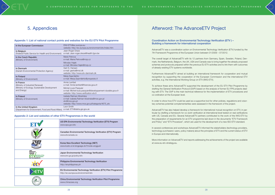### Appendix 1: List of national contact points and websites for the EU ETV Pilot Programme

| In the European Commission                                   | ENV-ETV@ec.europa.eu<br>website: http://ec.europa.eu/environment/etv/index.htm                                                                 |
|--------------------------------------------------------------|------------------------------------------------------------------------------------------------------------------------------------------------|
| In Belgium                                                   | Jean-Roger Dreze                                                                                                                               |
| (Federal Public Service for Health and Environment)          | e-mail: Jean-roger.dreze@health.fgov.be                                                                                                        |
| In the Czech Republic                                        | Marie Petrova                                                                                                                                  |
| (Ministry of Environment)                                    | e-mail: Marie.Petrova@mzp.cz                                                                                                                   |
|                                                              | Miroslav Hajek<br>e-mail: Miroslav.Hajek@mzp.cz                                                                                                |
| In Denmark<br>(Danish Environmental Protection Agency)       | Gert S. Hansen<br>e-mail: gesha@mst.dk<br>website: http://www.etv-danmark.dk                                                                   |
| In Finland                                                   | Merja Saarnilehto                                                                                                                              |
| (Ministry of Environment)                                    | e-mail: Merja.Saarnilehto@ymparisto.fi                                                                                                         |
| In France                                                    | Annie Larribet                                                                                                                                 |
| (Ministry of Industrial Renewal)                             | e-mail: Annie.larribet@finances.gouv.fr                                                                                                        |
| (Ministry of Ecology, Sustainable Development<br>and Energy) | Michel-Louis Pasquier<br>e-mail: Michel-louis.pasquier@developpement-durable.gouv.fr<br>website: http://www.verification-etv.fr                |
| In Poland<br>(Ministry of Environment)                       | Izabela Ratman-Kłosińska<br>e-mail: Izabela.Ratman-klosinska@mos.gov.pl<br>etv@mos.gov.pl<br>website: http://www.mos.gov.pl/kategoria/4675_etv |
| In the United Kingdom                                        | Leon Smith                                                                                                                                     |
| (Department for Environment, Food and Rural Affairs)         | e-mail: ETV@defra.gsi.gov.uk                                                                                                                   |

# Appendix 2: List and websites of other ETV Programmes in the world

In order to show how ETV could be used as a supportive tool for other policies, regulations and voluntary schemes potential complementarities were assessed in the framework of the project.

| US EPA Environmental Technology Verification (ETV) Program<br>www.epa.gov/etv                         |
|-------------------------------------------------------------------------------------------------------|
| Canadian Environmental Technology Verification (ETV) Program<br>www.etvcanada.ca                      |
| Korea New Excellent Technology (NET)<br>www.koetv.or.kr/engpage.do?mode=engguid                       |
| Japan Environmental Technology Verification<br>www.env.go.jp/policy/etv                               |
| <b>Philippine Environmental Technology Verification</b><br>http://etvphilippines.ph                   |
| EU Environmental Technology Verification (ETV) Pilot Programme<br>http://ec.europa.eu/environment/etv |
| China Environmental Technology Verification Pilot Programme<br>www.chinacses.org                      |

# 5. Appendices **Afterword: The AdvanceETV Project** 6.

AdvanceETV was a coordination action on Environmental Technology Verification (ETV) funded by the 7th Framework Programme of the European Union between 01/2009 – 07/2012.

The overall target of AdvanceETV with its 12 partners from Germany, Spain, Sweden, Poland, Denmark, the Netherlands, Belgium, the UK, USA and Canada was to bring together the already proposed schemes and protocols prepared within the previous EU ETV activities and to link them with outcomes of already existing ETV systems worldwide.

Furthermore AdvanceETV aimed at building an international framework for cooperation and mutual recognition by supporting the cooperation of the European Commission and the international ETV activities, e.g. the International Working Group on ETV (IWG-ETV).

To achieve these aims AdvanceETV supported the development of the EU ETV Pilot Programme by drafting the General Verification Protocol (GVP) based on the analysis of former EU FP6 projects dealing with ETV. The GVP is the main technical reference for the implementation of ETV procedures and co-ordination at the European level.

AdvanceETV has also helped develop a framework for international mutual recognition on ETV, in particular by drafting a framework for co-/joint verification at international level tested on real verifications with US, Canada and EU. Several AdvanceETV partners contributed to the work of the IWG-ETV by the preparation of requirements for an ETV programme laid down in the documents "ETV Framework and Policy" and "ETV Procedure", which are used for the development of a new ISO-ETV standard.

In several conferences and workshops AdvanceETV informed the stakeholders (technology providers, technology purchasers/ users, policy makers) about the principles of ETV and the current status of ETV in Europe and internationally.

More information on AdvanceETV and reports addressing the achievements of the project are available at www.eu-etv-strategy.eu.



# Coordination Action on Environmental Technology Verification (ETV ) – Building a framework for international cooperation